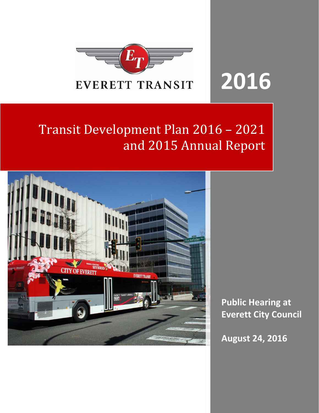

# **2016**

# Transit Development Plan 2016 - 2021 and 2015 Annual Report



**Public Hearing at Everett City Council**

**August 24, 2016**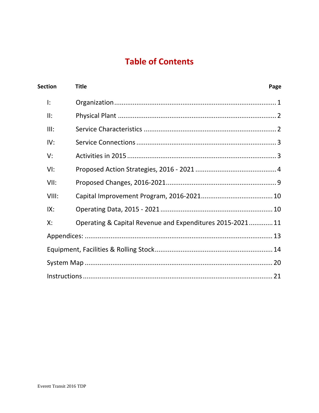# **Table of Contents**

| <b>Section</b> | <b>Title</b>                                             | Page |
|----------------|----------------------------------------------------------|------|
| I:             |                                                          |      |
| II:            |                                                          |      |
| III:           |                                                          |      |
| IV:            |                                                          |      |
| V:             |                                                          |      |
| VI:            |                                                          |      |
| VII:           |                                                          |      |
| VIII:          |                                                          |      |
| IX:            |                                                          |      |
| Х:             | Operating & Capital Revenue and Expenditures 2015-202111 |      |
|                |                                                          |      |
|                |                                                          |      |
|                |                                                          |      |
|                |                                                          |      |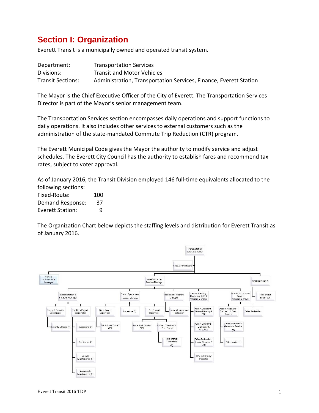# **Section I: Organization**

Everett Transit is a municipally owned and operated transit system.

| Department:              | <b>Transportation Services</b>                                    |
|--------------------------|-------------------------------------------------------------------|
| Divisions:               | <b>Transit and Motor Vehicles</b>                                 |
| <b>Transit Sections:</b> | Administration, Transportation Services, Finance, Everett Station |

The Mayor is the Chief Executive Officer of the City of Everett. The Transportation Services Director is part of the Mayor's senior management team.

The Transportation Services section encompasses daily operations and support functions to daily operations. It also includes other services to external customers such as the administration of the state‐mandated Commute Trip Reduction (CTR) program.

The Everett Municipal Code gives the Mayor the authority to modify service and adjust schedules. The Everett City Council has the authority to establish fares and recommend tax rates, subject to voter approval.

As of January 2016, the Transit Division employed 146 full‐time equivalents allocated to the following sections:

| Fixed-Route:            | 100 |
|-------------------------|-----|
| Demand Response:        | 37  |
| <b>Everett Station:</b> | q   |

The Organization Chart below depicts the staffing levels and distribution for Everett Transit as of January 2016.

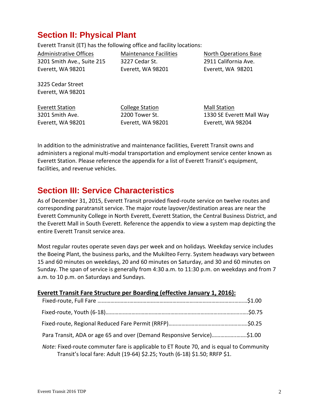# **Section II: Physical Plant**

Everett Transit (ET) has the following office and facility locations:

Administrative Offices 3201 Smith Ave., Suite 215 Everett, WA 98201

Maintenance Facilities 3227 Cedar St. Everett, WA 98201

North Operations Base 2911 California Ave. Everett, WA 98201

3225 Cedar Street Everett, WA 98201

Everett Station 3201 Smith Ave. Everett, WA 98201 College Station 2200 Tower St. Everett, WA 98201 Mall Station 1330 SE Everett Mall Way Everett, WA 98204

In addition to the administrative and maintenance facilities, Everett Transit owns and administers a regional multi‐modal transportation and employment service center known as Everett Station. Please reference the appendix for a list of Everett Transit's equipment, facilities, and revenue vehicles.

# **Section III: Service Characteristics**

As of December 31, 2015, Everett Transit provided fixed-route service on twelve routes and corresponding paratransit service. The major route layover/destination areas are near the Everett Community College in North Everett, Everett Station, the Central Business District, and the Everett Mall in South Everett. Reference the appendix to view a system map depicting the entire Everett Transit service area.

Most regular routes operate seven days per week and on holidays*.* Weekday service includes the Boeing Plant, the business parks, and the Mukilteo Ferry. System headways vary between 15 and 60 minutes on weekdays, 20 and 60 minutes on Saturday, and 30 and 60 minutes on Sunday. The span of service is generally from 4:30 a.m. to 11:30 p.m. on weekdays and from 7 a.m. to 10 p.m. on Saturdays and Sundays.

| Everett Transit Fare Structure per Boarding (effective January 1, 2016):                                                                                              |  |
|-----------------------------------------------------------------------------------------------------------------------------------------------------------------------|--|
|                                                                                                                                                                       |  |
|                                                                                                                                                                       |  |
|                                                                                                                                                                       |  |
| Para Transit, ADA or age 65 and over (Demand Responsive Service)\$1.00                                                                                                |  |
| Note: Fixed-route commuter fare is applicable to ET Route 70, and is equal to Community<br>Transit's local fare: Adult (19-64) \$2.25; Youth (6-18) \$1.50; RRFP \$1. |  |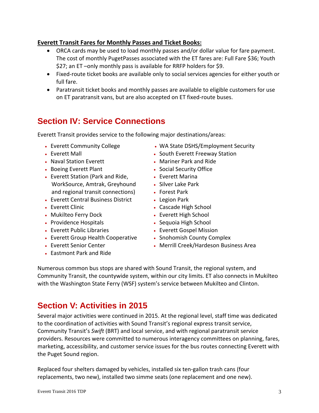### **Everett Transit Fares for Monthly Passes and Ticket Books:**

- ORCA cards may be used to load monthly passes and/or dollar value for fare payment. The cost of monthly PugetPasses associated with the ET fares are: Full Fare \$36; Youth \$27; an ET –only monthly pass is available for RRFP holders for \$9.
- Fixed-route ticket books are available only to social services agencies for either youth or full fare.
- Paratransit ticket books and monthly passes are available to eligible customers for use on ET paratransit vans, but are also accepted on ET fixed‐route buses.

# **Section IV: Service Connections**

Everett Transit provides service to the following major destinations/areas:

- Everett Community College
- Everett Mall
- Naval Station Everett
- Boeing Everett Plant
- Everett Station (Park and Ride, WorkSource, Amtrak, Greyhound and regional transit connections)
- Everett Central Business District
- Everett Clinic
- Mukilteo Ferry Dock
- Providence Hospitals
- Everett Public Libraries
- Everett Group Health Cooperative
- Everett Senior Center
- Eastmont Park and Ride
- WA State DSHS/Employment Security
- South Everett Freeway Station
- Mariner Park and Ride
- Social Security Office
- Everett Marina
- Silver Lake Park
- Forest Park
- Legion Park
- Cascade High School
- Everett High School
- Sequoia High School
- Everett Gospel Mission
- Snohomish County Complex
- Merrill Creek/Hardeson Business Area

Numerous common bus stops are shared with Sound Transit, the regional system, and Community Transit, the countywide system, within our city limits. ET also connects in Mukilteo with the Washington State Ferry (WSF) system's service between Mukilteo and Clinton.

# **Section V: Activities in 2015**

Several major activities were continued in 2015. At the regional level, staff time was dedicated to the coordination of activities with Sound Transit's regional express transit service, Community Transit's *Swift* (BRT) and local service, and with regional paratransit service providers. Resources were committed to numerous interagency committees on planning, fares, marketing, accessibility, and customer service issues for the bus routes connecting Everett with the Puget Sound region.

Replaced four shelters damaged by vehicles, installed six ten‐gallon trash cans (four replacements, two new), installed two simme seats (one replacement and one new).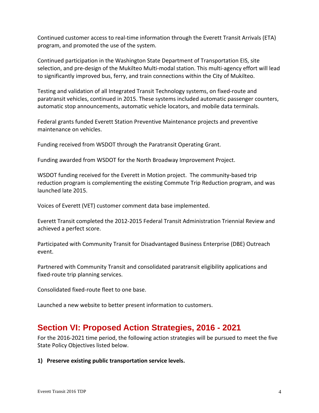Continued customer access to real‐time information through the Everett Transit Arrivals (ETA) program, and promoted the use of the system.

Continued participation in the Washington State Department of Transportation EIS, site selection, and pre-design of the Mukilteo Multi-modal station. This multi-agency effort will lead to significantly improved bus, ferry, and train connections within the City of Mukilteo.

Testing and validation of all Integrated Transit Technology systems, on fixed‐route and paratransit vehicles, continued in 2015. These systems included automatic passenger counters, automatic stop announcements, automatic vehicle locators, and mobile data terminals.

Federal grants funded Everett Station Preventive Maintenance projects and preventive maintenance on vehicles.

Funding received from WSDOT through the Paratransit Operating Grant.

Funding awarded from WSDOT for the North Broadway Improvement Project.

WSDOT funding received for the Everett in Motion project. The community‐based trip reduction program is complementing the existing Commute Trip Reduction program, and was launched late 2015.

Voices of Everett (VET) customer comment data base implemented.

Everett Transit completed the 2012‐2015 Federal Transit Administration Triennial Review and achieved a perfect score.

Participated with Community Transit for Disadvantaged Business Enterprise (DBE) Outreach event.

Partnered with Community Transit and consolidated paratransit eligibility applications and fixed-route trip planning services.

Consolidated fixed‐route fleet to one base.

Launched a new website to better present information to customers.

### **Section VI: Proposed Action Strategies, 2016 - 2021**

For the 2016‐2021 time period, the following action strategies will be pursued to meet the five State Policy Objectives listed below.

**1) Preserve existing public transportation service levels.**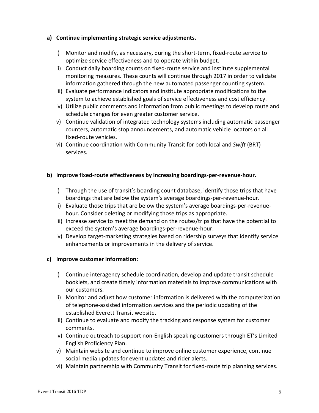#### **a) Continue implementing strategic service adjustments.**

- i) Monitor and modify, as necessary, during the short-term, fixed-route service to optimize service effectiveness and to operate within budget.
- ii) Conduct daily boarding counts on fixed‐route service and institute supplemental monitoring measures. These counts will continue through 2017 in order to validate information gathered through the new automated passenger counting system.
- iii) Evaluate performance indicators and institute appropriate modifications to the system to achieve established goals of service effectiveness and cost efficiency.
- iv) Utilize public comments and information from public meetings to develop route and schedule changes for even greater customer service.
- v) Continue validation of integrated technology systems including automatic passenger counters, automatic stop announcements, and automatic vehicle locators on all fixed‐route vehicles.
- vi) Continue coordination with Community Transit for both local and *Swift* (BRT) services.

#### **b) Improve fixed‐route effectiveness by increasing boardings‐per‐revenue‐hour.**

- i) Through the use of transit's boarding count database, identify those trips that have boardings that are below the system's average boardings‐per‐revenue‐hour.
- ii) Evaluate those trips that are below the system's average boardings-per-revenuehour. Consider deleting or modifying those trips as appropriate.
- iii) Increase service to meet the demand on the routes/trips that have the potential to exceed the system's average boardings‐per‐revenue‐hour.
- iv) Develop target-marketing strategies based on ridership surveys that identify service enhancements or improvements in the delivery of service.

#### **c) Improve customer information:**

- i) Continue interagency schedule coordination, develop and update transit schedule booklets, and create timely information materials to improve communications with our customers.
- ii) Monitor and adjust how customer information is delivered with the computerization of telephone‐assisted information services and the periodic updating of the established Everett Transit website.
- iii) Continue to evaluate and modify the tracking and response system for customer comments.
- iv) Continue outreach to support non‐English speaking customers through ET's Limited English Proficiency Plan.
- v) Maintain website and continue to improve online customer experience, continue social media updates for event updates and rider alerts.
- vi) Maintain partnership with Community Transit for fixed-route trip planning services.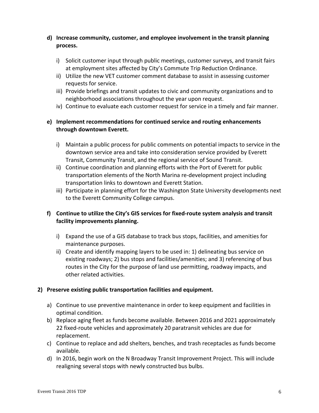### **d) Increase community, customer, and employee involvement in the transit planning process.**

- i) Solicit customer input through public meetings, customer surveys, and transit fairs at employment sites affected by City's Commute Trip Reduction Ordinance.
- ii) Utilize the new VET customer comment database to assist in assessing customer requests for service.
- iii) Provide briefings and transit updates to civic and community organizations and to neighborhood associations throughout the year upon request.
- iv) Continue to evaluate each customer request for service in a timely and fair manner.

### **e) Implement recommendations for continued service and routing enhancements through downtown Everett.**

- i) Maintain a public process for public comments on potential impacts to service in the downtown service area and take into consideration service provided by Everett Transit, Community Transit, and the regional service of Sound Transit.
- ii) Continue coordination and planning efforts with the Port of Everett for public transportation elements of the North Marina re‐development project including transportation links to downtown and Everett Station.
- iii) Participate in planning effort for the Washington State University developments next to the Everett Community College campus.

### **f) Continue to utilize the City's GIS services for fixed‐route system analysis and transit facility improvements planning.**

- i) Expand the use of a GIS database to track bus stops, facilities, and amenities for maintenance purposes.
- ii) Create and identify mapping layers to be used in: 1) delineating bus service on existing roadways; 2) bus stops and facilities/amenities; and 3) referencing of bus routes in the City for the purpose of land use permitting, roadway impacts, and other related activities.

### **2) Preserve existing public transportation facilities and equipment.**

- a) Continue to use preventive maintenance in order to keep equipment and facilities in optimal condition.
- b) Replace aging fleet as funds become available. Between 2016 and 2021 approximately 22 fixed‐route vehicles and approximately 20 paratransit vehicles are due for replacement.
- c) Continue to replace and add shelters, benches, and trash receptacles as funds become available.
- d) In 2016, begin work on the N Broadway Transit Improvement Project. This will include realigning several stops with newly constructed bus bulbs.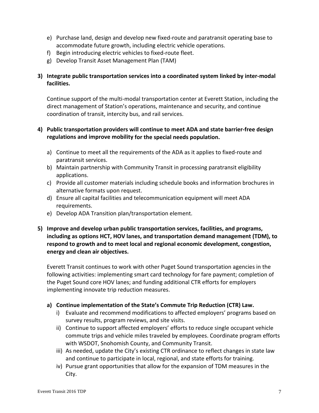- e) Purchase land, design and develop new fixed‐route and paratransit operating base to accommodate future growth, including electric vehicle operations.
- f) Begin introducing electric vehicles to fixed-route fleet.
- g) Develop Transit Asset Management Plan (TAM)

### **3) Integrate public transportation services into a coordinated system linked by inter‐modal facilities.**

Continue support of the multi‐modal transportation center at Everett Station, including the direct management of Station's operations, maintenance and security, and continue coordination of transit, intercity bus, and rail services.

### **4) Public transportation providers will continue to meet ADA and state barrier‐free design regulations and improve mobility for the special needs population.**

- a) Continue to meet all the requirements of the ADA as it applies to fixed‐route and paratransit services.
- b) Maintain partnership with Community Transit in processing paratransit eligibility applications.
- c) Provide all customer materials including schedule books and information brochures in alternative formats upon request.
- d) Ensure all capital facilities and telecommunication equipment will meet ADA requirements.
- e) Develop ADA Transition plan/transportation element.
- **5) Improve and develop urban public transportation services, facilities, and programs, including as options HCT, HOV lanes, and transportation demand management (TDM), to respond to growth and to meet local and regional economic development, congestion, energy and clean air objectives.**

Everett Transit continues to work with other Puget Sound transportation agencies in the following activities: implementing smart card technology for fare payment; completion of the Puget Sound core HOV lanes; and funding additional CTR efforts for employers implementing innovate trip reduction measures.

### **a) Continue implementation of the State's Commute Trip Reduction (CTR) Law.**

- i) Evaluate and recommend modifications to affected employers' programs based on survey results, program reviews, and site visits.
- ii) Continue to support affected employers' efforts to reduce single occupant vehicle commute trips and vehicle miles traveled by employees. Coordinate program efforts with WSDOT, Snohomish County, and Community Transit.
- iii) As needed, update the City's existing CTR ordinance to reflect changes in state law and continue to participate in local, regional, and state efforts for training.
- iv) Pursue grant opportunities that allow for the expansion of TDM measures in the City.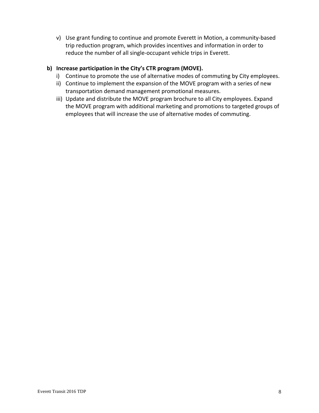v) Use grant funding to continue and promote Everett in Motion, a community‐based trip reduction program, which provides incentives and information in order to reduce the number of all single‐occupant vehicle trips in Everett.

### **b) Increase participation in the City's CTR program (MOVE).**

- i) Continue to promote the use of alternative modes of commuting by City employees.
- ii) Continue to implement the expansion of the MOVE program with a series of new transportation demand management promotional measures.
- iii) Update and distribute the MOVE program brochure to all City employees. Expand the MOVE program with additional marketing and promotions to targeted groups of employees that will increase the use of alternative modes of commuting.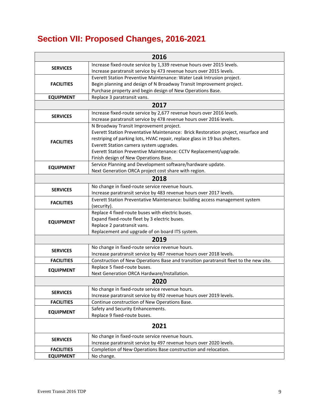# **Section VII: Proposed Changes, 2016-2021**

|                   | 2016                                                                                  |  |  |  |  |  |  |  |  |  |
|-------------------|---------------------------------------------------------------------------------------|--|--|--|--|--|--|--|--|--|
| <b>SERVICES</b>   | Increase fixed-route service by 1,339 revenue hours over 2015 levels.                 |  |  |  |  |  |  |  |  |  |
|                   | Increase paratransit service by 473 revenue hours over 2015 levels.                   |  |  |  |  |  |  |  |  |  |
|                   | Everett Station Preventive Maintenance: Water Leak Intrusion project.                 |  |  |  |  |  |  |  |  |  |
| <b>FACILITIES</b> | Begin planning and design of N Broadway Transit Improvement project.                  |  |  |  |  |  |  |  |  |  |
|                   | Purchase property and begin design of New Operations Base.                            |  |  |  |  |  |  |  |  |  |
| <b>EQUIPMENT</b>  | Replace 3 paratransit vans.                                                           |  |  |  |  |  |  |  |  |  |
| 2017              |                                                                                       |  |  |  |  |  |  |  |  |  |
| <b>SERVICES</b>   | Increase fixed-route service by 2,677 revenue hours over 2016 levels.                 |  |  |  |  |  |  |  |  |  |
|                   | Increase paratransit service by 478 revenue hours over 2016 levels.                   |  |  |  |  |  |  |  |  |  |
|                   | N Broadway Transit Improvement project.                                               |  |  |  |  |  |  |  |  |  |
|                   | Everett Station Preventative Maintenance: Brick Restoration project, resurface and    |  |  |  |  |  |  |  |  |  |
| <b>FACILITIES</b> | restriping of parking lots, HVAC repair, replace glass in 19 bus shelters.            |  |  |  |  |  |  |  |  |  |
|                   | Everett Station camera system upgrades.                                               |  |  |  |  |  |  |  |  |  |
|                   | Everett Station Preventive Maintenance: CCTV Replacement/upgrade.                     |  |  |  |  |  |  |  |  |  |
|                   | Finish design of New Operations Base.                                                 |  |  |  |  |  |  |  |  |  |
| <b>EQUIPMENT</b>  | Service Planning and Development software/hardware update.                            |  |  |  |  |  |  |  |  |  |
|                   | Next Generation ORCA project cost share with region.                                  |  |  |  |  |  |  |  |  |  |
|                   | 2018                                                                                  |  |  |  |  |  |  |  |  |  |
| <b>SERVICES</b>   | No change in fixed-route service revenue hours.                                       |  |  |  |  |  |  |  |  |  |
|                   | Increase paratransit service by 483 revenue hours over 2017 levels.                   |  |  |  |  |  |  |  |  |  |
| <b>FACILITIES</b> | Everett Station Preventative Maintenance: building access management system           |  |  |  |  |  |  |  |  |  |
|                   | (security).                                                                           |  |  |  |  |  |  |  |  |  |
|                   | Replace 4 fixed-route buses with electric buses.                                      |  |  |  |  |  |  |  |  |  |
| <b>EQUIPMENT</b>  | Expand fixed-route fleet by 3 electric buses.                                         |  |  |  |  |  |  |  |  |  |
|                   | Replace 2 paratransit vans.                                                           |  |  |  |  |  |  |  |  |  |
|                   | Replacement and upgrade of on board ITS system.                                       |  |  |  |  |  |  |  |  |  |
|                   | 2019                                                                                  |  |  |  |  |  |  |  |  |  |
| <b>SERVICES</b>   | No change in fixed-route service revenue hours.                                       |  |  |  |  |  |  |  |  |  |
|                   | Increase paratransit service by 487 revenue hours over 2018 levels.                   |  |  |  |  |  |  |  |  |  |
| <b>FACILITIES</b> | Construction of New Operations Base and transition paratransit fleet to the new site. |  |  |  |  |  |  |  |  |  |
| <b>EQUIPMENT</b>  | Replace 5 fixed-route buses.                                                          |  |  |  |  |  |  |  |  |  |
|                   | Next Generation ORCA Hardware/Installation.                                           |  |  |  |  |  |  |  |  |  |
|                   | 2020                                                                                  |  |  |  |  |  |  |  |  |  |
| <b>SERVICES</b>   | No change in fixed-route service revenue hours.                                       |  |  |  |  |  |  |  |  |  |
|                   | Increase paratransit service by 492 revenue hours over 2019 levels.                   |  |  |  |  |  |  |  |  |  |
| <b>FACILITIES</b> | Continue construction of New Operations Base.                                         |  |  |  |  |  |  |  |  |  |
| <b>EQUIPMENT</b>  | Safety and Security Enhancements.                                                     |  |  |  |  |  |  |  |  |  |
|                   | Replace 9 fixed-route buses.                                                          |  |  |  |  |  |  |  |  |  |
|                   | 2021                                                                                  |  |  |  |  |  |  |  |  |  |
| <b>SERVICES</b>   | No change in fixed-route service revenue hours.                                       |  |  |  |  |  |  |  |  |  |
|                   | Increase paratransit service by 497 revenue hours over 2020 levels.                   |  |  |  |  |  |  |  |  |  |
| <b>FACILITIES</b> | Completion of New Operations Base construction and relocation.                        |  |  |  |  |  |  |  |  |  |
| <b>EQUIPMENT</b>  | No change.                                                                            |  |  |  |  |  |  |  |  |  |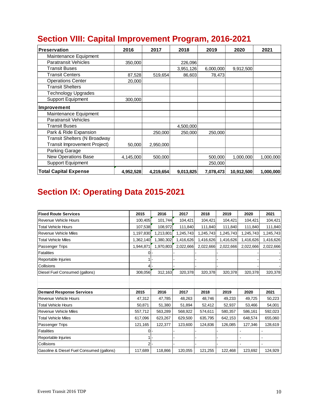| <b>Preservation</b>                 | 2016      | 2017      | 2018      | 2019      | 2020       | 2021      |
|-------------------------------------|-----------|-----------|-----------|-----------|------------|-----------|
| Maintenance Equipment               |           |           |           |           |            |           |
| <b>Paratransit Vehicles</b>         | 350,000   |           | 226,096   |           |            |           |
| <b>Transit Buses</b>                |           |           | 3,951,126 | 6,000,000 | 9,912,500  |           |
| <b>Transit Centers</b>              | 87,528    | 519,654   | 86,603    | 78,473    |            |           |
| <b>Operations Center</b>            | 20,000    |           |           |           |            |           |
| <b>Transit Shelters</b>             |           |           |           |           |            |           |
| <b>Technology Upgrades</b>          |           |           |           |           |            |           |
| <b>Support Equipment</b>            | 300,000   |           |           |           |            |           |
| <b>Improvement</b>                  |           |           |           |           |            |           |
| Maintenance Equipment               |           |           |           |           |            |           |
| <b>Paratransit Vehicles</b>         |           |           |           |           |            |           |
| <b>Transit Buses</b>                |           |           | 4,500,000 |           |            |           |
| Park & Ride Expansion               |           | 250,000   | 250,000   | 250,000   |            |           |
| <b>Transit Shelters (N Broadway</b> |           |           |           |           |            |           |
| <b>Transit Improvement Project)</b> | 50,000    | 2,950,000 |           |           |            |           |
| Parking Garage                      |           |           |           |           |            |           |
| <b>New Operations Base</b>          | 4,145,000 | 500,000   |           | 500,000   | 1,000,000  | 1,000,000 |
| <b>Support Equipment</b>            |           |           |           | 250,000   |            |           |
| <b>Total Capital Expense</b>        | 4,952,528 | 4,219,654 | 9,013,825 | 7,078,473 | 10,912,500 | 1,000,000 |

# **Section VIII: Capital Improvement Program, 2016-2021**

# **Section IX: Operating Data 2015-2021**

| <b>Fixed Route Services</b>               | 2015           | 2016      | 2017      | 2018      | 2019      | 2020      | 2021      |
|-------------------------------------------|----------------|-----------|-----------|-----------|-----------|-----------|-----------|
| <b>Revenue Vehicle Hours</b>              | 100,405        | 101,744   | 104,421   | 104,421   | 104,421   | 104,421   | 104,421   |
| <b>Total Vehicle Hours</b>                | 107,538        | 108,972   | 111,840   | 111,840   | 111,840   | 111,840   | 111,840   |
| <b>Revenue Vehicle Miles</b>              | 1,197,830      | 1,213,801 | 1,245,743 | 1,245,743 | 1,245,743 | 1,245,743 | 1,245,743 |
| <b>Total Vehicle Miles</b>                | 1,362,140      | 1,380,302 | 1,416,626 | 1,416,626 | 1,416,626 | 1,416,626 | 1,416,626 |
| Passenger Trips                           | 1,944,871      | 1,970,803 | 2,022,666 | 2,022,666 | 2,022,666 | 2,022,666 | 2,022,666 |
| <b>Fatalities</b>                         | 0              |           |           |           |           |           |           |
| Reportable Injuries                       |                |           |           |           |           |           |           |
| Collisions                                |                |           |           |           |           |           |           |
| Diesel Fuel Consumed (gallons)            | 308,056        | 312,163   | 320,378   | 320,378   | 320,378   | 320,378   | 320,378   |
|                                           |                |           |           |           |           |           |           |
|                                           |                |           |           |           |           |           |           |
| <b>Demand Response Services</b>           | 2015           | 2016      | 2017      | 2018      | 2019      | 2020      | 2021      |
| Revenue Vehicle Hours                     | 47,312         | 47,785    | 48,263    | 48,746    | 49,233    | 49,725    | 50,223    |
| <b>Total Vehicle Hours</b>                | 50,871         | 51,380    | 51,894    | 52,412    | 52,937    | 53,466    | 54,001    |
| <b>Revenue Vehicle Miles</b>              | 557,712        | 563,289   | 568,922   | 574,611   | 580,357   | 586,161   | 592,023   |
| <b>Total Vehicle Miles</b>                | 617,096        | 623,267   | 629,500   | 635,795   | 642,153   | 648,574   | 655,060   |
| <b>Passenger Trips</b>                    | 121,165        | 122,377   | 123,600   | 124,836   | 126,085   | 127,346   | 128,619   |
| <b>Fatalities</b>                         | $\Omega$       |           |           |           |           |           |           |
| Reportable Injuries                       |                |           |           |           |           |           |           |
| Collisions                                | $\overline{2}$ |           |           |           |           |           |           |
| Gasoline & Diesel Fuel Consumed (gallons) | 117,689        | 118,866   | 120,055   | 121,255   | 122,468   | 123,692   | 124,929   |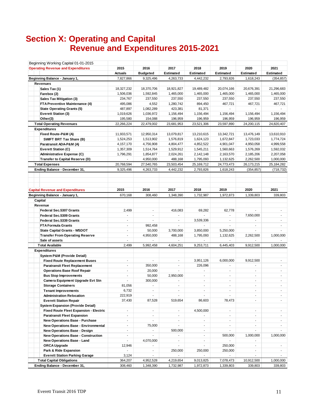# **Section X: Operating and Capital Revenue and Expenditures 2015-2021**

| Beginning Working Capital 01-01-2015          |                          |                          |                          |                          |                           |                              |                          |
|-----------------------------------------------|--------------------------|--------------------------|--------------------------|--------------------------|---------------------------|------------------------------|--------------------------|
| <b>Operating Revenue and Expenditures</b>     | 2015                     | 2016                     | 2017                     | 2018                     | 2019                      | 2020                         | 2021                     |
|                                               | <b>Actuals</b>           | <b>Budgeted</b>          | Estimated                | <b>Estimated</b>         | <b>Estimated</b>          | <b>Estimated</b>             | Estimated                |
| Beginning Balance - January 1,                | 7,827,866                | 9,325,496                | 4,263,733                | 4,442,232                | 2,793,826                 | 1,618,243                    | (354, 857)               |
| <b>Revenues</b>                               |                          |                          |                          |                          |                           |                              |                          |
| Sales Tax (1)                                 | 18,327,232               | 18,370,706               | 18,921,827               | 19,489,482               | 20,074,166                | 20,676,391                   | 21,296,683               |
| Farebox (2)                                   | 1,506,036                | 1,592,845                | 1,465,000                | 1,465,000                | 1,465,000                 | 1,465,000                    | 1,465,000                |
| <b>Sales Tax Mitigation (3)</b>               | 234,767                  | 237,550                  | 237,550                  | 237,550                  | 237,550                   | 237,550                      | 237,550                  |
| FTA Preventive Maintenance (4)                | 495,086                  | 4,552                    | 1,280,742                | 894,450                  | 467,721                   | 467,721                      | 467,721                  |
| <b>State Operating Grants (5)</b>             | 487,897                  | 1,082,289                | 423,381                  | 81,371                   |                           |                              |                          |
| <b>Everett Station (3)</b>                    | 1,019,626                | 1,036,972                | 1,156,494                | 1,156,494                | 1,156,494                 | 1,156,494                    | 1,156,494                |
| Other(3)                                      | 195,580                  | 154,088                  | 196,959                  | 196,959                  | 196,959                   | 196,959                      | 196,959                  |
| <b>Total Operating Revenues</b>               | 22,266,224               | 22,479,002               | 23,681,953               | 23,521,306               | 23,597,890                | 24,200,115                   | 24,820,407               |
| <b>Expenditures</b>                           |                          |                          |                          |                          |                           |                              |                          |
|                                               |                          | 12,950,314               | 13,079,817               | 13,210,615               |                           | 13,476,149                   | 13,610,910               |
| Fixed Route-P&M (A)                           | 11,933,571               |                          |                          |                          | 13,342,721                |                              |                          |
| SWIFT BRT Tax Share (B)                       | 1,524,253                | 1,513,902                | 1,576,819                | 1,624,123                | 1,672,847                 | 1,723,033                    | 1,774,724                |
| Paratransit ADA-P&M (A)                       | 4,157,170                | 4,756,908                | 4,804,477                | 4,852,522                | 4,901,047                 | 4,950,058                    | 4,999,558                |
| <b>Everett Station (C)</b>                    | 1,357,309                | 1,514,764                | 1,529,912                | 1,545,211                | 1,560,663                 | 1,576,269                    | 1,592,032                |
| Administrative Expense (C)                    | 1,796,291                | 1,854,877                | 2,024,261                | 2,142,148                | 2,163,570                 | 2,185,206                    | 2,207,058                |
| <b>Transfer to Capital Reserve (D)</b>        | ÷.                       | 4,950,000                | 488,168                  | 1,795,093                | 1,132,625                 | 2,262,500                    | 1,000,000                |
| <b>Total Expenses</b>                         | 20,768,594               | 27,540,765               | 23,503,454               | 25,169,712               | 24,773,473                | 26,173,215                   | 25,184,282               |
| Ending Balance - December 31,                 | 9,325,496                | 4,263,733                | 4,442,232                | 2,793,826                | 1,618,243                 | (354, 857)                   | (718, 732)               |
|                                               |                          |                          |                          |                          |                           |                              |                          |
|                                               |                          |                          |                          |                          |                           |                              |                          |
| <b>Capital Revenue and Expenditures</b>       | 2015                     | 2016                     | 2017                     | 2018                     | 2019                      | 2020                         | 2021                     |
| Beginning Balance - January 1,                | 670,168                  | 308,460                  | 1,348,390                | 1,732,987                | 1,972,873                 | 1,339,803                    | 339,803                  |
| Capital                                       |                          |                          |                          |                          |                           |                              |                          |
| Revenue                                       |                          |                          |                          |                          |                           |                              |                          |
| Federal Sec.5307 Grants                       | 2,499                    | $\overline{\phantom{a}}$ | 416,083                  | 69,282                   | 62,778                    |                              | $\overline{\phantom{a}}$ |
| <b>Federal Sec.5309 Grants</b>                | ÷                        | $\overline{a}$           | $\overline{a}$           |                          | ÷                         | 7,650,000                    | $\mathbf{r}$             |
| <b>Federal Sec.5339 Grants</b>                | $\overline{\phantom{a}}$ | $\sim$                   | $\blacksquare$           | 3,539,336                | $\blacksquare$            | $\overline{\phantom{a}}$     | $\overline{\phantom{a}}$ |
| <b>FTA Formula Grants</b>                     | $\overline{\phantom{a}}$ | 992,458                  |                          |                          |                           |                              | $\overline{\phantom{a}}$ |
| <b>State Capital Grants - WSDOT</b>           | ÷.                       | 50,000                   | 3,700,000                | 3,850,000                | 5,250,000                 |                              |                          |
| <b>Transfer From Operating Reserve</b>        | $\overline{a}$           | 4,950,000                | 488,168                  | 1,795,093                | 1,132,625                 | 2,262,500                    | 1,000,000                |
| Sale of assets                                | $\overline{\phantom{0}}$ |                          |                          |                          |                           |                              |                          |
| <b>Total Available</b>                        | 2,499                    | 5,992,458                | 4,604,251                | 9,253,711                | 6,445,403                 | 9,912,500                    | 1,000,000                |
| <b>Expenditures</b>                           |                          |                          |                          |                          |                           |                              |                          |
| <b>System P&amp;M (Provide Detail)</b>        |                          |                          |                          |                          |                           |                              |                          |
| <b>Fixed Route Replacement Buses</b>          | $\overline{\phantom{a}}$ | $\overline{\phantom{a}}$ | $\sim$                   | 3,951,126                | 6,000,000                 | 9,912,500                    | $\overline{\phantom{a}}$ |
| <b>Paratransit Fleet Replacement</b>          | $\blacksquare$           | 350,000                  | $\overline{\phantom{a}}$ | 226,096                  | $\sim$                    | $\overline{\phantom{a}}$     | $\overline{\phantom{a}}$ |
| <b>Operations Base Roof Repair</b>            | $\overline{\phantom{a}}$ | 20,000                   | $\sim$                   |                          | $\sim$                    | $\overline{\phantom{a}}$     | $\overline{\phantom{a}}$ |
| <b>Bus Stop Improvements</b>                  | $\overline{\phantom{a}}$ | 50,000                   | 2,950,000                | $\blacksquare$           | $\sim$                    | $\overline{\phantom{a}}$     | $\sim$                   |
| Camera Equipment Upgrade Evt Stn              | $\overline{\phantom{0}}$ | 300,000                  | $\overline{\phantom{a}}$ | $\frac{1}{2}$            | $\overline{\phantom{a}}$  | $\overline{\phantom{0}}$     | $\overline{\phantom{a}}$ |
| <b>Storage Containers</b>                     | 81,056                   | $\blacksquare$           | $\blacksquare$           | $\blacksquare$           | $\blacksquare$            | $\blacksquare$               | $\overline{\phantom{a}}$ |
| <b>Tenant Improvements</b>                    | 6,732                    | $\overline{a}$           | $\overline{a}$           | $\sim$                   | ÷.                        | ÷.                           | $\overline{a}$           |
|                                               |                          | $\blacksquare$           |                          |                          |                           | $\sim$                       |                          |
| <b>Administration Relocation</b>              | 222,919                  |                          |                          |                          |                           |                              |                          |
| <b>Everett Station Repair</b>                 | 37,430                   | 87,528                   | 519,654                  | 86,603                   | 78,473                    | ÷.                           | $\overline{\phantom{a}}$ |
| <b>System Expansion (Provide Detail)</b>      |                          |                          |                          |                          |                           |                              |                          |
| <b>Fixed Route Fleet Expansion - Electric</b> | $\overline{\phantom{a}}$ | $\blacksquare$           | $\overline{\phantom{a}}$ | 4,500,000                | $\blacksquare$            | $\overline{\phantom{a}}$     | $\blacksquare$           |
| <b>Paratransit Fleet Expansion</b>            | $\overline{\phantom{a}}$ | $\blacksquare$           | $\overline{\phantom{a}}$ | $\blacksquare$           | $\sim$                    | $\blacksquare$               | $\sim$                   |
| <b>New Operations Base - Purchase</b>         | $\overline{\phantom{0}}$ | $\blacksquare$           | $\overline{\phantom{a}}$ | $\overline{\phantom{a}}$ | $\overline{\phantom{a}}$  | $\overline{\phantom{a}}$     | $\sim$                   |
| New Operations Base - Environmental           | $\overline{\phantom{a}}$ | 75,000                   |                          | $\blacksquare$           | $\blacksquare$            | ٠                            | $\blacksquare$           |
| <b>New Operations Base - Design</b>           | $\overline{\phantom{a}}$ | $\blacksquare$           | 500,000                  | $\blacksquare$           | $\blacksquare$            | $\overline{\phantom{0}}$     | $\blacksquare$           |
| <b>New Operations Base - Construction</b>     | $\blacksquare$           | $\overline{\phantom{a}}$ | $\overline{\phantom{a}}$ | $\overline{\phantom{a}}$ | 500,000                   | 1,000,000                    | 1,000,000                |
| New Operations Base - Land                    | $\sim$                   | 4,070,000                | $\overline{\phantom{a}}$ | $\sim$                   | $\mathbb{Z}^{\mathbb{Z}}$ | $\overline{\phantom{a}}$     |                          |
| ORCA Upgrade                                  | 12,946                   | $\blacksquare$           | $\overline{\phantom{a}}$ | $\blacksquare$           | 250,000                   | $\frac{1}{2}$                | $\sim$                   |
| Park & Ride Expansion                         | ä,                       | $\blacksquare$           | 250,000                  | 250,000                  | 250,000                   | ÷.                           | $\sim$                   |
| <b>Everett Station Parking Garage</b>         | 3,124                    | $\overline{\phantom{a}}$ |                          |                          |                           | $\qquad \qquad \blacksquare$ | $\blacksquare$           |
| <b>Total Capital Obligations</b>              | 364,207                  | 4,952,528                | 4,219,654                | 9,013,825                | 7,078,473                 | 10,912,500                   | 1,000,000                |
| Ending Balance - December 31,                 | 308,460                  | 1,348,390                | 1,732,987                | 1,972,873                | 1,339,803                 | 339,803                      | 339,803                  |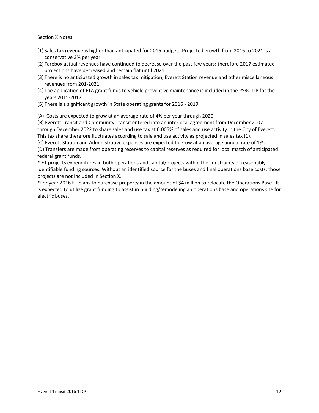#### Section X Notes:

- (1) Sales tax revenue is higher than anticipated for 2016 budget. Projected growth from 2016 to 2021 is a conservative 3% per year.
- (2) Farebox actual revenues have continued to decrease over the past few years; therefore 2017 estimated projections have decreased and remain flat until 2021.
- (3) There is no anticipated growth in sales tax mitigation, Everett Station revenue and other miscellaneous revenues from 201‐2021.
- (4) The application of FTA grant funds to vehicle preventive maintenance is included in the PSRC TIP for the years 2015‐2017.
- (5) There is a significant growth in State operating grants for 2016 ‐ 2019.

(A) Costs are expected to grow at an average rate of 4% per year through 2020.

(B) Everett Transit and Community Transit entered into an interlocal agreement from December 2007 through December 2022 to share sales and use tax at 0.005% of sales and use activity in the City of Everett. This tax share therefore fluctuates according to sale and use activity as projected in sales tax (1).

(C) Everett Station and Administrative expenses are expected to grow at an average annual rate of 1%.

(D) Transfers are made from operating reserves to capital reserves as required for local match of anticipated federal grant funds.

\* ET projects expenditures in both operations and capital/projects within the constraints of reasonably identifiable funding sources. Without an identified source for the buses and final operations base costs, those projects are not included in Section X.

\*For year 2016 ET plans to purchase property in the amount of \$4 million to relocate the Operations Base. It is expected to utilize grant funding to assist in building/remodeling an operations base and operations site for electric buses.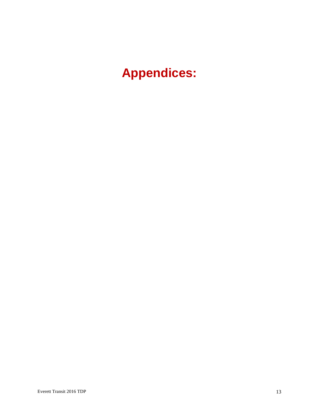**Appendices:**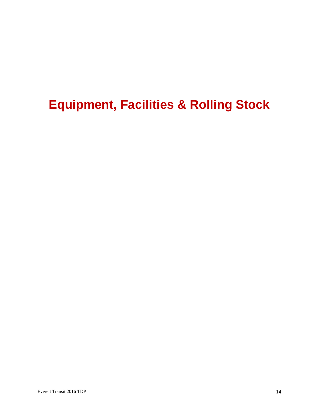# **Equipment, Facilities & Rolling Stock**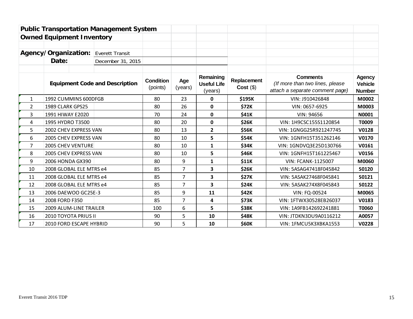|                                                |                                  |                                       | <b>Public Transportation Management System</b> |                |                                            |                           |                                                                                       |                                                  |              |
|------------------------------------------------|----------------------------------|---------------------------------------|------------------------------------------------|----------------|--------------------------------------------|---------------------------|---------------------------------------------------------------------------------------|--------------------------------------------------|--------------|
|                                                | <b>Owned Equipment Inventory</b> |                                       |                                                |                |                                            |                           |                                                                                       |                                                  |              |
|                                                |                                  |                                       |                                                |                |                                            |                           |                                                                                       |                                                  |              |
| Agency/Organization:<br><b>Everett Transit</b> |                                  |                                       |                                                |                |                                            |                           |                                                                                       |                                                  |              |
|                                                | Date:                            |                                       | December 31, 2015                              |                |                                            |                           |                                                                                       |                                                  |              |
|                                                |                                  | <b>Equipment Code and Description</b> | <b>Condition</b><br>(points)                   | Age<br>(years) | Remaining<br><b>Useful Life</b><br>(years) | Replacement<br>Cost( \$ ) | <b>Comments</b><br>(If more than two lines, please<br>attach a separate comment page) | <b>Agency</b><br><b>Vehicle</b><br><b>Number</b> |              |
| $\mathbf{1}$                                   | 1992 CUMMINS 600DFGB             |                                       |                                                | 80             | 23                                         | 0                         | \$195K                                                                                | VIN: J910426848                                  | M0002        |
| 2                                              | 1989 CLARK GPS25                 |                                       |                                                | 80             | 26                                         | 0                         | \$72K                                                                                 | VIN: 0657-6925                                   | M0003        |
| 3                                              | 1991 HIWAY E2020                 |                                       |                                                | 70             | 24                                         | 0                         | \$41K                                                                                 | VIN: 94656                                       | N0001        |
| 4                                              | 1995 HYDRO T3500                 |                                       |                                                | 80             | 20                                         | 0                         | <b>\$26K</b>                                                                          | VIN: 1H9CSC155S1120854                           | T0009        |
| 5                                              | 2002 CHEV EXPRESS VAN            |                                       |                                                | 80             | 13                                         | $\overline{2}$            | \$56K                                                                                 | VIN: 1GNGG25R921247745                           | V0128        |
| 6                                              | 2005 CHEV EXPRESS VAN            |                                       |                                                | 80             | 10                                         | 5                         | \$54K                                                                                 | VIN: 1GNFH15T351262146                           | V0170        |
| 7                                              | <b>2005 CHEV VENTURE</b>         |                                       |                                                | 80             | 10                                         | 1                         | \$34K                                                                                 | VIN: 1GNDVQ3E25D130766                           | V0161        |
| 8                                              | 2005 CHEV EXPRESS VAN            |                                       |                                                | 80             | 10                                         | 5                         | \$46K                                                                                 | VIN: 1GNFH15T161225467                           | V0156        |
| 9                                              | 2006 HONDA GX390                 |                                       |                                                | 80             | 9                                          | 1                         | \$11K                                                                                 | <b>VIN: FCANK-1125007</b>                        | M0060        |
| 10                                             | 2008 GLOBAL ELE MTRS e4          |                                       |                                                | 85             | $\overline{7}$                             | 3                         | <b>\$26K</b>                                                                          | VIN: 5ASAG47418F045842                           | S0120        |
| 11                                             | 2008 GLOBAL ELE MTRS e4          |                                       |                                                | 85             | $\overline{7}$                             | 3                         | <b>\$27K</b>                                                                          | VIN: 5ASAK27468F045841                           | S0121        |
| 12                                             | 2008 GLOBAL ELE MTRS e4          |                                       |                                                | 85             | $\overline{7}$                             | 3                         | <b>\$24K</b>                                                                          | VIN: 5ASAK274X8F045843                           | S0122        |
| 13                                             | 2006 DAEWOO GC25E-3              |                                       |                                                | 85             | 9                                          | 11                        | \$42K                                                                                 | VIN: FQ-00524                                    | M0065        |
| 14                                             | 2008 FORD F350                   |                                       |                                                | 85             | $\overline{7}$                             | 4                         | \$73K                                                                                 | VIN: 1FTWX30528EB26037                           | V0183        |
| 15                                             | 2009 ALUM-LINE TRAILER           |                                       |                                                | 100            | 6                                          | 5                         | <b>\$38K</b>                                                                          | VIN: 1A9FB142692241881                           | T0060        |
| 16                                             | 2010 TOYOTA PRIUS II             |                                       |                                                | 90             | 5                                          | 10                        | <b>\$48K</b>                                                                          | VIN: JTDKN3DU9A0116212                           | A0057        |
| 17                                             | 2010 FORD ESCAPE HYBRID          |                                       |                                                | 90             | 5                                          | 10                        | \$60K                                                                                 | VIN: 1FMCU5K3XBKA1553                            | <b>V0228</b> |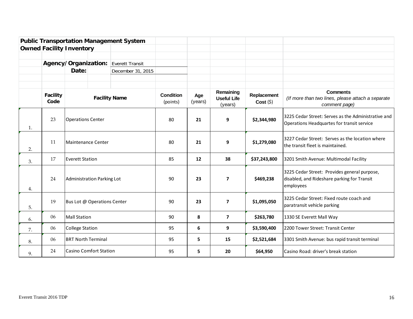|    |                  |                                 |  | <b>Public Transportation Management System</b> |                              |                |                                            |                         |                                                                                                          |
|----|------------------|---------------------------------|--|------------------------------------------------|------------------------------|----------------|--------------------------------------------|-------------------------|----------------------------------------------------------------------------------------------------------|
|    |                  | <b>Owned Facility Inventory</b> |  |                                                |                              |                |                                            |                         |                                                                                                          |
|    |                  |                                 |  |                                                |                              |                |                                            |                         |                                                                                                          |
|    |                  | Agency/Organization:            |  | Everett Transit                                |                              |                |                                            |                         |                                                                                                          |
|    |                  | Date:                           |  | December 31, 2015                              |                              |                |                                            |                         |                                                                                                          |
|    |                  |                                 |  |                                                |                              |                |                                            |                         |                                                                                                          |
|    | Facility<br>Code |                                 |  | <b>Facility Name</b>                           | <b>Condition</b><br>(points) | Age<br>(years) | Remaining<br><b>Useful Life</b><br>(years) | Replacement<br>Cost (5) | <b>Comments</b><br>(If more than two lines, please attach a separate<br>comment page)                    |
| 1. | 23               | <b>Operations Center</b>        |  |                                                | 80                           | 21             | 9                                          | \$2,344,980             | 3225 Cedar Street: Serves as the Administrative and<br>Operations Headquartes for transit service        |
| 2. | 11               | <b>Maintenance Center</b>       |  |                                                | 80                           | 21             | 9                                          | \$1,279,080             | 3227 Cedar Street: Serves as the location where<br>the transit fleet is maintained.                      |
| 3. | 17               | <b>Everett Station</b>          |  |                                                | 85                           | 12             | 38                                         | \$37,243,800            | 3201 Smith Avenue: Multimodal Facility                                                                   |
| 4. | 24               | Administration Parking Lot      |  |                                                | 90                           | 23             | $\overline{\phantom{a}}$                   | \$469,238               | 3225 Cedar Street: Provides general purpose,<br>disabled, and Rideshare parking for Transit<br>employees |
| 5. | 19               | Bus Lot @ Operations Center     |  |                                                | 90                           | 23             | $\overline{ }$                             | \$1,095,050             | 3225 Cedar Street: Fixed route coach and<br>paratransit vehicle parking                                  |
| 6. | 06               | <b>Mall Station</b>             |  |                                                | 90                           | 8              | $\overline{7}$                             | \$263,780               | 1330 SE Everett Mall Way                                                                                 |
| 7. | 06               | <b>College Station</b>          |  |                                                | 95                           | 6              | 9                                          | \$3,590,400             | 2200 Tower Street: Transit Center                                                                        |
| 8. | 06               | <b>BRT North Terminal</b>       |  |                                                | 95                           | 5              | 15                                         | \$2,521,684             | 3301 Smith Avenue: bus rapid transit terminal                                                            |
| 9. | 24               | <b>Casino Comfort Station</b>   |  |                                                | 95                           | 5              | 20                                         | \$64,950                | Casino Road: driver's break station                                                                      |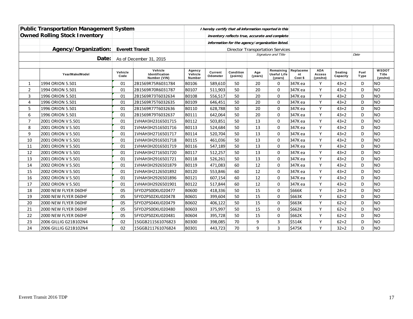| <b>Public Transportation Management System</b> |                                      |                 |                                           | I hereby certify that all information reported in this |                                                 |                       |                |                                                |                            |                                         |                     |              |                                   |
|------------------------------------------------|--------------------------------------|-----------------|-------------------------------------------|--------------------------------------------------------|-------------------------------------------------|-----------------------|----------------|------------------------------------------------|----------------------------|-----------------------------------------|---------------------|--------------|-----------------------------------|
|                                                | <b>Owned Rolling Stock Inventory</b> |                 |                                           |                                                        |                                                 |                       |                | inventory reflects true, accurate and complete |                            |                                         |                     |              |                                   |
|                                                |                                      |                 |                                           |                                                        | information for the agency/organization listed. |                       |                |                                                |                            |                                         |                     |              |                                   |
|                                                | Agency/Organization:                 |                 | <b>Everett Transit</b>                    |                                                        |                                                 |                       |                | <b>Director Transportation Services</b>        |                            |                                         |                     |              |                                   |
|                                                | Date:                                |                 | As of December 31, 2015                   |                                                        |                                                 |                       |                | Signature and Title                            |                            |                                         |                     | Date         |                                   |
|                                                |                                      |                 |                                           |                                                        |                                                 |                       |                |                                                |                            |                                         |                     |              |                                   |
|                                                | Year/Make/Model                      | Vehicle<br>Code | Vehicle<br>Identification<br>Number (VIN) | Agency<br>Vehicle<br><b>Number</b>                     | Current<br>Odometer                             | Condition<br>(points) | Age<br>(years) | Remaining<br><b>Useful Life</b><br>(years)     | Replaceme<br>nt<br>Cost \$ | <b>ADA</b><br><b>Access</b><br>(yes/no) | Seating<br>Capacity | Fuel<br>Type | <b>WSDOT</b><br>Title<br>(yes/no) |
| 1                                              | 1994 ORION 5.501                     | 01              | 2B1569R75R6031784                         | B0106                                                  | 589,610                                         | 50                    | 20             | 0                                              | 347K ea                    | Y                                       | $43 + 2$            | D            | <b>NO</b>                         |
| $\overline{2}$                                 | 1994 ORION 5.501                     | 01              | 2B1569R70R6031787                         | B0107                                                  | 511,903                                         | 50                    | 20             | $\Omega$                                       | 347K ea                    | Y                                       | $43 + 2$            | D            | <b>NO</b>                         |
| 3                                              | 1996 ORION 5.501                     | 01              | 2B1569R73T6032634                         | B0108                                                  | 556,517                                         | 50                    | 20             | $\mathbf 0$                                    | 347K ea                    | Y                                       | $43 + 2$            | D            | <b>NO</b>                         |
| 4                                              | 1996 ORION 5.501                     | 01              | 2B1569R75T6032635                         | B0109                                                  | 646,451                                         | 50                    | 20             | $\mathbf 0$                                    | 347K ea                    | Y                                       | $43 + 2$            | D            | <b>NO</b>                         |
| 5                                              | 1996 ORION 5.501                     | 01              | 2B1569R77T6032636                         | B0110                                                  | 628,788                                         | 50                    | 20             | $\Omega$                                       | 347K ea                    | Y                                       | $43 + 2$            | D            | <b>NO</b>                         |
| 6                                              | 1996 ORION 5.501                     | 01              | 2B1569R79T6032637                         | B0111                                                  | 642,064                                         | 50                    | 20             | $\Omega$                                       | 347К еа                    | Y                                       | $43 + 2$            | D            | <b>NO</b>                         |
| $\overline{7}$                                 | 2001 ORION V 5.501                   | 01              | 1VHAH3H2316501715                         | B0112                                                  | 503,851                                         | 50                    | 13             | $\mathbf 0$                                    | 347K ea                    | Y                                       | $43 + 2$            | D            | <b>NO</b>                         |
| 8                                              | 2001 ORION V 5.501                   | 01              | 1VHAH3H2516501716                         | B0113                                                  | 524,684                                         | 50                    | 13             | $\mathbf 0$                                    | 347K ea                    | Y                                       | $43 + 2$            | D            | <b>NO</b>                         |
| 9                                              | 2001 ORION V 5.501                   | 01              | 1VHAH3H2716501717                         | B0114                                                  | 520,704                                         | 50                    | 13             | $\Omega$                                       | 347K ea                    | Y                                       | $43 + 2$            | D            | <b>NO</b>                         |
| 10                                             | 2001 ORION V 5.501                   | 01              | 1VHAH3H2916501718                         | B0115                                                  | 461,036                                         | 50                    | 13             | $\mathbf 0$                                    | 347K ea                    | Y                                       | $43 + 2$            | D            | <b>NO</b>                         |
| 11                                             | 2001 ORION V 5.501                   | 01              | 1VHAH3H2016501719                         | B0116                                                  | 547,189                                         | 50                    | 13             | $\mathbf 0$                                    | 347K ea                    | Y                                       | $43 + 2$            | D            | <b>NO</b>                         |
| 12                                             | 2001 ORION V 5.501                   | 01              | 1VHAH3H2716501720                         | B0117                                                  | 512,257                                         | 50                    | 13             | $\mathbf 0$                                    | 347K ea                    | Y                                       | $43 + 2$            | D            | <b>NO</b>                         |
| 13                                             | 2001 ORION V 5.501                   | 01              | 1VHAH3H2916501721                         | B0118                                                  | 526,261                                         | 50                    | 13             | $\mathbf 0$                                    | 347K ea                    | Y                                       | $43 + 2$            | D            | <b>NO</b>                         |
| 14                                             | 2002 ORION V 5.501                   | 01              | 1VHAH3H2926501879                         | B0119                                                  | 471,083                                         | 60                    | 12             | $\mathbf 0$                                    | 347K ea                    | Y                                       | $43 + 2$            | D            | <b>NO</b>                         |
| 15                                             | 2002 ORION V 5.501                   | 01              | 1VHAH3H2126501892                         | B0120                                                  | 553,846                                         | 60                    | 12             | $\mathbf 0$                                    | 347K ea                    | Y                                       | $43 + 2$            | D            | <b>NO</b>                         |
| 16                                             | 2002 ORION V 5.501                   | 01              | 1VHAH3H2926501896                         | B0121                                                  | 607,154                                         | 60                    | 12             | $\mathbf 0$                                    | 347K ea                    | Y                                       | $43 + 2$            | D            | <b>NO</b>                         |
| 17                                             | 2002 ORION V 5.501                   | 01              | 1VHAH3H2926501901                         | B0122                                                  | 517,844                                         | 60                    | 12             | $\Omega$                                       | 347K ea                    | Y                                       | $43 + 2$            | D            | <b>NO</b>                         |
| 18                                             | 2000 NEW FLYER D60HF                 | 05              | 5FYD2PS00XU020477                         | <b>B0600</b>                                           | 418,336                                         | 50                    | 15             | $\Omega$                                       | \$666K                     | Y                                       | $24 + 2$            | D            | <b>NO</b>                         |
| 19                                             | 2000 NEW FLYER D60HF                 | 05              | 5FYD2PS02XU020478                         | B0601                                                  | 399,604                                         | 50                    | 15             | $\mathbf 0$                                    | \$663K                     | Y                                       | $62 + 2$            | D            | <b>NO</b>                         |
| 20                                             | 2000 NEW FLYER D60HF                 | 05              | 5FYD2PS04XU020479                         | B0602                                                  | 406,122                                         | 50                    | 15             | $\Omega$                                       | \$663K                     | Y                                       | $62 + 2$            | D            | <b>NO</b>                         |
| 21                                             | 2000 NEW FLYER D60HF                 | 05              | 5FYD2PS00XU020480                         | B0603                                                  | 375,997                                         | 50                    | 15             | $\mathbf 0$                                    | \$662K                     | Y                                       | $62 + 2$            | D            | <b>NO</b>                         |
| 22                                             | 2000 NEW FLYER D60HF                 | 05              | 5FYD2PS02XU020481                         | B0604                                                  | 395,728                                         | 50                    | 15             | $\Omega$                                       | \$662K                     | Y                                       | $62 + 2$            | D            | <b>NO</b>                         |
| 23                                             | 2006 GILLIG G21B102N4                | 02              | 15GGB211561076823                         | B0300                                                  | 398,085                                         | 70                    | 9              | $\overline{3}$                                 | \$514K                     | Y                                       | $62 + 2$            | D            | <b>NO</b>                         |
| 24                                             | 2006 GILLIG G21B102N4                | 02              | 15GGB211761076824                         | B0301                                                  | 443,723                                         | 70                    | 9              | $\overline{3}$                                 | \$475K                     | Y                                       | $32 + 2$            | D            | <b>NO</b>                         |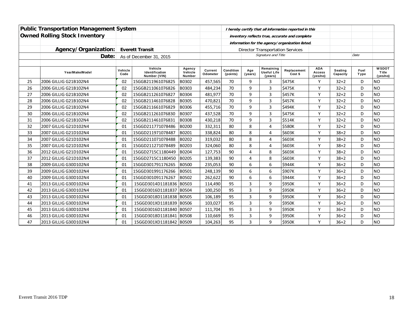|    | <b>Public Transportation Management System</b> |                 |                                           |                                    |                     | I hereby certify that all information reported in this |                |                                         |                        |                                  |                     |              |                                   |
|----|------------------------------------------------|-----------------|-------------------------------------------|------------------------------------|---------------------|--------------------------------------------------------|----------------|-----------------------------------------|------------------------|----------------------------------|---------------------|--------------|-----------------------------------|
|    | <b>Owned Rolling Stock Inventory</b>           |                 |                                           |                                    |                     | inventory reflects true, accurate and complete         |                |                                         |                        |                                  |                     |              |                                   |
|    |                                                |                 |                                           |                                    |                     | information for the agency/organization listed.        |                |                                         |                        |                                  |                     |              |                                   |
|    | Agency/Organization:                           |                 | <b>Everett Transit</b>                    |                                    |                     |                                                        |                | <b>Director Transportation Services</b> |                        |                                  |                     |              |                                   |
|    | Date:                                          |                 | As of December 31, 2015                   |                                    |                     |                                                        |                | Signature and Title                     |                        |                                  |                     | Date         |                                   |
|    |                                                |                 |                                           |                                    |                     |                                                        |                |                                         |                        |                                  |                     |              |                                   |
|    | Year/Make/Model                                | Vehicle<br>Code | Vehicle<br>Identification<br>Number (VIN) | Agency<br>Vehicle<br><b>Number</b> | Current<br>Odometer | Condition<br>(points)                                  | Age<br>(years) | Remaining<br>Useful Life<br>(years)     | Replacement<br>Cost \$ | <b>ADA</b><br>Access<br>(yes/no) | Seating<br>Capacity | Fuel<br>Type | <b>WSDOT</b><br>Title<br>(yes/no) |
| 25 | 2006 GILLIG G21B102N4                          | 02              | 15GGB211961076825                         | B0302                              | 457,565             | 70                                                     | 9              | 3                                       | \$475K                 |                                  | $32 + 2$            | D            | <b>NO</b>                         |
| 26 | 2006 GILLIG G21B102N4                          | 02              | 15GGB211061076826                         | B0303                              | 484,234             | 70                                                     | 9              | 3                                       | \$475K                 | Υ                                | $32 + 2$            | D            | <b>NO</b>                         |
| 27 | 2006 GILLIG G21B102N4                          | 02              | 15GGB211261076827                         | B0304                              | 481,977             | 70                                                     | 9              | 3                                       | \$457K                 | Y                                | $32 + 2$            | D            | <b>NO</b>                         |
| 28 | 2006 GILLIG G21B102N4                          | 02              | 15GGB211461076828                         | B0305                              | 470,821             | 70                                                     | 9              | 3                                       | \$457K                 | Υ                                | $32 + 2$            | D            | <b>NO</b>                         |
| 29 | 2006 GILLIG G21B102N4                          | 02              | 15GGB211661076829                         | B0306                              | 455,716             | 70                                                     | 9              | $\overline{3}$                          | \$494K                 | Y                                | $32+2$              | D            | <b>NO</b>                         |
| 30 | 2006 GILLIG G21B102N4                          | 02              | 15GGB211261076830                         | B0307                              | 437,528             | 70                                                     | 9              | 3                                       | \$475K                 | $\checkmark$                     | $32 + 2$            | D            | <b>NO</b>                         |
| 31 | 2006 GILLIG G21B102N4                          | 02              | 15GGB211461076831                         | B0308                              | 430,218             | 70                                                     | 9              | 3                                       | \$514K                 | Y                                | $32 + 2$            | D            | <b>NO</b>                         |
| 32 | 2007 GILLIG G21D102N4                          | 01              | 15GGD211771078486                         | B0200                              | 332,311             | 80                                                     | 8              | $\overline{4}$                          | \$580K                 | $\mathsf{v}$                     | $32 + 2$            | D            | <b>NO</b>                         |
| 33 | 2007 GILLIG G21D102N4                          | 01              | 15GGD211971078487                         | B0201                              | 338,824             | 80                                                     | 8              | $\overline{4}$                          | \$603K                 | $\checkmark$                     | $38 + 2$            | D            | <b>NO</b>                         |
| 34 | 2007 GILLIG G21D102N4                          | 01              | 15GGD211071078488                         | B0202                              | 319,032             | 80                                                     | 8              | 4                                       | \$603K                 | Υ                                | $38 + 2$            | D            | <b>NO</b>                         |
| 35 | 2007 GILLIG G21D102N4                          | 01              | 15GGD211271078489                         | B0203                              | 324,060             | 80                                                     | 8              | 4                                       | \$603K                 | Υ                                | $38 + 2$            | D            | <b>NO</b>                         |
| 36 | 2012 GILLIG G21D102N4                          | 01              | 15GGD2715C1180449                         | B0204                              | 127,753             | 90                                                     | 4              | 8                                       | \$603K                 | $\mathsf{v}$                     | $38 + 2$            | D            | <b>NO</b>                         |
| 37 | 2012 GILLIG G21D102N4                          | 01              | 15GGD2715C1180450                         | B0205                              | 139,383             | 90                                                     | $\overline{4}$ | 8                                       | \$603K                 | Υ                                | $38 + 2$            | D            | <b>NO</b>                         |
| 38 | 2009 GILLIG G30D102N4                          | 01              | 15GGD301791176265                         | <b>B0500</b>                       | 235,053             | 90                                                     | 6              | 6                                       | \$944K                 | $\vee$                           | $36+2$              | D            | <b>NO</b>                         |
| 39 | 2009 GILLIG G30D102N4                          | 01              | 15GGD301991176266                         | B0501                              | 248,139             | 90                                                     | 6              | 6                                       | \$907K                 | Υ                                | $36 + 2$            | D            | <b>NO</b>                         |
| 40 | 2009 GILLIG G30D102N4                          | 01              | 15GGD301091176267                         | B0502                              | 262,622             | 90                                                     | 6              | 6                                       | <b>\$944K</b>          | Y                                | $36 + 2$            | D            | <b>NO</b>                         |
| 41 | 2013 GILLIG G30D102N4                          | 01              | 15GGD3014D1181836 B0503                   |                                    | 114,490             | 95                                                     | 3              | 9                                       | \$950K                 | $\checkmark$                     | $36 + 2$            | D            | <b>NO</b>                         |
| 42 | 2013 GILLIG G30D102N4                          | 01              | 15GGD3016D1181837                         | B0504                              | 100,250             | 95                                                     | 3              | 9                                       | \$950K                 | Y                                | $36 + 2$            | D            | <b>NO</b>                         |
| 43 | 2013 GILLIG G30D102N4                          | 01              | 15GGD3018D1181838 B0505                   |                                    | 106,189             | 95                                                     | $\overline{3}$ | 9                                       | <b>\$950K</b>          | V                                | $36 + 2$            | D            | <b>NO</b>                         |
| 44 | 2013 GILLIG G30D102N4                          | 01              | 15GGD301XD1181839 B0506                   |                                    | 103,027             | 95                                                     | 3              | 9                                       | <b>\$950K</b>          | ۷                                | $36 + 2$            | D            | <b>NO</b>                         |
| 45 | 2013 GILLIG G30D102N4                          | 01              | 15GGD3016D1181840 B0507                   |                                    | 111,704             | 95                                                     | $\overline{3}$ | 9                                       | \$950K                 | Y                                | $36 + 2$            | D            | <b>NO</b>                         |
| 46 | 2013 GILLIG G30D102N4                          | 01              | 15GGD3018D1181841 B0508                   |                                    | 110,669             | 95                                                     | 3              | 9                                       | \$950K                 | $\checkmark$                     | $36 + 2$            | D            | <b>NO</b>                         |
| 47 | 2013 GILLIG G30D102N4                          | 01              | 15GGD301XD1181842 B0509                   |                                    | 104,263             | 95                                                     | 3              | 9                                       | \$950K                 | Υ                                | $36 + 2$            | D            | <b>NO</b>                         |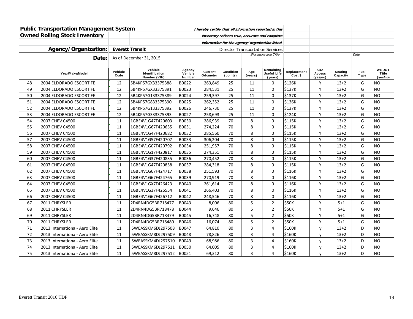| <b>Public Transportation Management System</b> |                                |                        |                                           | I hereby certify that all information reported in this |                     |                                         |                     |                                                 |                        |                                         |                     |              |                                   |
|------------------------------------------------|--------------------------------|------------------------|-------------------------------------------|--------------------------------------------------------|---------------------|-----------------------------------------|---------------------|-------------------------------------------------|------------------------|-----------------------------------------|---------------------|--------------|-----------------------------------|
| <b>Owned Rolling Stock Inventory</b>           |                                |                        |                                           | inventory reflects true, accurate and complete         |                     |                                         |                     |                                                 |                        |                                         |                     |              |                                   |
|                                                |                                |                        |                                           |                                                        |                     |                                         |                     | information for the agency/organization listed. |                        |                                         |                     |              |                                   |
|                                                | Agency/Organization:           | <b>Everett Transit</b> |                                           |                                                        |                     | <b>Director Transportation Services</b> |                     |                                                 |                        |                                         |                     |              |                                   |
|                                                | Date:                          |                        | As of December 31, 2015                   |                                                        |                     |                                         | Signature and Title |                                                 |                        |                                         |                     | Date         |                                   |
|                                                |                                |                        |                                           |                                                        |                     |                                         |                     |                                                 |                        |                                         |                     |              |                                   |
|                                                | Year/Make/Model                | Vehicle<br>Code        | Vehicle<br>Identification<br>Number (VIN) | Agency<br>Vehicle<br>Number                            | Current<br>Odometer | Condition<br>(points)                   | Age<br>(years)      | Remaining<br><b>Useful Life</b><br>(years)      | Replacement<br>Cost \$ | <b>ADA</b><br><b>Access</b><br>(yes/no) | Seating<br>Capacity | Fuel<br>Type | <b>WSDOT</b><br>Title<br>(yes/no) |
| 48                                             | 2004 ELDORADO ESCORT FE        | 12                     | 5B4KP57GX33375388                         | B0022                                                  | 263,849             | 25                                      | 11                  | 0                                               | \$126K                 | Y                                       | $13+2$              | G            | <b>NO</b>                         |
| 49                                             | 2004 ELDORADO ESCORT FE        | 12                     | 5B4KP57GX33375391                         | B0023                                                  | 284,531             | 25                                      | 11                  | $\Omega$                                        | \$137K                 | Υ                                       | $13+2$              | G            | <b>NO</b>                         |
| 50                                             | 2004 ELDORADO ESCORT FE        | 12                     | 5B4KP57G133375389                         | B0024                                                  | 259,397             | 25                                      | 11                  | $\mathbf 0$                                     | \$137K                 | Y                                       | $13+2$              | G            | <b>NO</b>                         |
| 51                                             | 2004 ELDORADO ESCORT FE        | 12                     | 5B4KP57G833375390                         | B0025                                                  | 262,352             | 25                                      | 11                  | $\mathbf 0$                                     | \$136K                 | Y                                       | $13+2$              | G            | <b>NO</b>                         |
| 52                                             | 2004 ELDORADO ESCORT FE        | 12                     | 5B4KP57G133375392                         | B0026                                                  | 246,730             | 25                                      | 11                  | $\mathbf 0$                                     | \$137K                 | Y                                       | $13+2$              | G            | <b>NO</b>                         |
| 53                                             | 2004 ELDORADO ESCORT FE        | 12                     | 5B4KP57G333375393                         | B0027                                                  | 258,693             | 25                                      | 11                  | $\mathbf 0$                                     | \$124K                 | Υ                                       | $13+2$              | G            | <b>NO</b>                         |
| 54                                             | 2007 CHEV C4500                | 11                     | 1GBE4V1G47F420603                         | B0030                                                  | 286,939             | 70                                      | 8                   | $\mathbf 0$                                     | \$115K                 | Υ                                       | $13+2$              | G            | <b>NO</b>                         |
| 55                                             | 2007 CHEV C4500                | 11                     | 1GBE4V1G67F420635                         | B0031                                                  | 274,224             | 70                                      | 8                   | $\mathbf 0$                                     | \$115K                 | Υ                                       | $13+2$              | G            | <b>NO</b>                         |
| 56                                             | 2007 CHEV C4500                | 11                     | 1GBE4V1G47F420682                         | B0032                                                  | 285,560             | 70                                      | 8                   | 0                                               | \$115K                 | Y                                       | $13+2$              | G            | <b>NO</b>                         |
| 57                                             | 2007 CHEV C4500                | 11                     | 1GBE4V1G57F420707                         | B0033                                                  | 306,204             | 70                                      | 8                   | $\Omega$                                        | <b>\$115K</b>          | Y                                       | $13+2$              | G            | <b>NO</b>                         |
| 58                                             | 2007 CHEV C4500                | 11                     | 1GBE4V1G07F420792                         | B0034                                                  | 251,957             | 70                                      | 8                   | $\mathbf{0}$                                    | \$115K                 | Y                                       | $13+2$              | G            | <b>NO</b>                         |
| 59                                             | 2007 CHEV C4500                | 11                     | 1GBE4V1G17F420817                         | B0035                                                  | 274,351             | 70                                      | 8                   | $\mathbf{0}$                                    | \$115K                 | Y                                       | $13+2$              | G            | <b>NO</b>                         |
| 60                                             | 2007 CHEV C4500                | 11                     | 1GBE4V1G37F420835                         | B0036                                                  | 270,452             | 70                                      | 8                   | $\mathbf 0$                                     | \$115K                 | Y                                       | $13+2$              | G            | <b>NO</b>                         |
| 61                                             | 2007 CHEV C4500                | 11                     | 1GBE4V1G47F420858                         | B0037                                                  | 284,318             | 70                                      | 8                   | 0                                               | \$115K                 | Υ                                       | $13+2$              | G            | <b>NO</b>                         |
| 62                                             | 2007 CHEV C4500                | 11                     | 1GBE4V1G67F424717                         | B0038                                                  | 251,593             | 70                                      | 8                   | 0                                               | \$116K                 | Υ                                       | $13+2$              | G            | <b>NO</b>                         |
| 63                                             | 2007 CHEV C4500                | 11                     | 1GBE4V1G67F424765                         | B0039                                                  | 270,919             | 70                                      | 8                   | 0                                               | \$116K                 | Υ                                       | $13+2$              | G            | <b>NO</b>                         |
| 64                                             | 2007 CHEV C4500                | 11                     | 1GBE4V1GX7F426423                         | B0040                                                  | 261,614             | 70                                      | 8                   | $\mathbf 0$                                     | \$116K                 | Y                                       | $13+2$              | G            | <b>NO</b>                         |
| 65                                             | 2007 CHEV C4500                | 11                     | 1GBE4V1G37F426554                         | B0041                                                  | 266,403             | 70                                      | 8                   | $\mathbf 0$                                     | \$116K                 | Y                                       | $13+2$              | G            | <b>NO</b>                         |
| 66                                             | 2007 CHEV C4500                | 11                     | 1GBE4V1G67F426712                         | B0042                                                  | 248,546             | 70                                      | 8                   | $\mathbf 0$                                     | \$116K                 | Υ                                       | $13+2$              | G            | <b>NO</b>                         |
| 67                                             | 2011 CHRYSLER                  | 11                     | 2D4RN4DG5BR718477                         | B0043                                                  | 8,006               | 80                                      | 5                   | $\overline{2}$                                  | \$50K                  | Y                                       | $5 + 1$             | G            | <b>NO</b>                         |
| 68                                             | 2011 CHRYSLER                  | 11                     | 2D4RN4DG5BR718478                         | B0044                                                  | 9,646               | 80                                      | 5                   | $\overline{2}$                                  | \$50K                  | Y                                       | $5 + 1$             | G            | <b>NO</b>                         |
| 69                                             | 2011 CHRYSLER                  | 11                     | 2D4RN4DG5BR718479                         | B0045                                                  | 16,748              | 80                                      | 5                   | $\overline{2}$                                  | \$50K                  | Y                                       | $5 + 1$             | G            | <b>NO</b>                         |
| 70                                             | 2011 CHRYSLER                  | 11                     | 2D4RN4DG5BR718480                         | B0046                                                  | 16,074              | 80                                      | 5                   | $\overline{2}$                                  | \$50K                  | Y                                       | $5 + 1$             | G            | <b>NO</b>                         |
| 71                                             | 2013 International- Aero Elite | 11                     | 5WEASSKM6DJ297508                         | B0047                                                  | 64,810              | 80                                      | $\overline{3}$      | 4                                               | \$160K                 | v                                       | $13+2$              | D            | <b>NO</b>                         |
| 72                                             | 2013 International- Aero Elite | 11                     | 5WEASSKM8DJ297509                         | B0048                                                  | 78,826              | 80                                      | 3                   | 4                                               | \$160K                 | y                                       | $13+2$              | D            | <b>NO</b>                         |
| 73                                             | 2013 International- Aero Elite | 11                     | 5WEASSKM4DJ297510                         | B0049                                                  | 68,986              | 80                                      | 3                   | 4                                               | \$160K                 | V                                       | $13+2$              | D            | <b>NO</b>                         |
| 74                                             | 2013 International- Aero Elite | 11                     | 5WEASSKM6DJ297511                         | B0050                                                  | 64,005              | 80                                      | 3                   | 4                                               | \$160K                 | V                                       | $13+2$              | D            | <b>NO</b>                         |
| 75                                             | 2013 International- Aero Elite | 11                     | 5WEASSKM8DJ297512                         | B0051                                                  | 69,312              | 80                                      | $\overline{3}$      | 4                                               | \$160K                 | y                                       | $13+2$              | D            | <b>NO</b>                         |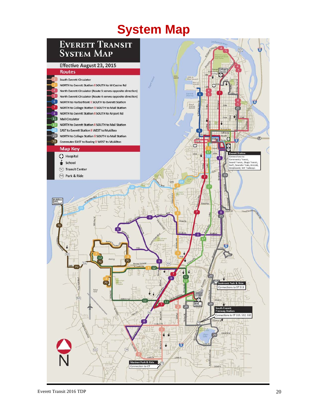# **System Map**

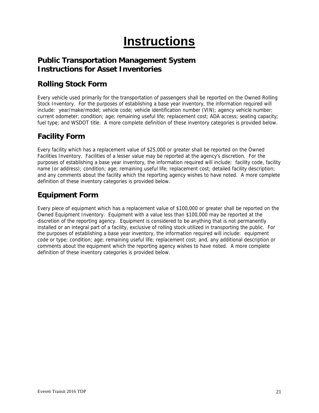# **Instructions**

### **Public Transportation Management System Instructions for Asset Inventories**

### **Rolling Stock Form**

Every vehicle used primarily for the transportation of passengers shall be reported on the Owned Rolling Stock Inventory. For the purposes of establishing a base year inventory, the information required will include: year/make/model; vehicle code; vehicle identification number (VIN); agency vehicle number; current odometer; condition; age; remaining useful life; replacement cost; ADA access; seating capacity; fuel type; and WSDOT title. A more complete definition of these inventory categories is provided below.

### **Facility Form**

Every facility which has a replacement value of \$25,000 or greater shall be reported on the Owned Facilities Inventory. Facilities of a lesser value may be reported at the agency's discretion. For the purposes of establishing a base year inventory, the information required will include: facility code, facility name (or address); condition; age; remaining useful life; replacement cost; detailed facility description; and any comments about the facility which the reporting agency wishes to have noted. A more complete definition of these inventory categories is provided below.

### **Equipment Form**

Every piece of equipment which has a replacement value of \$100,000 or greater shall be reported on the Owned Equipment Inventory. Equipment with a value less than \$100,000 may be reported at the discretion of the reporting agency. Equipment is considered to be anything that is not permanently installed or an integral part of a facility, exclusive of rolling stock utilized in transporting the public. For the purposes of establishing a base year inventory, the information required will include: equipment code or type; condition; age; remaining useful life; replacement cost; and, any additional description or comments about the equipment which the reporting agency wishes to have noted. A more complete definition of these inventory categories is provided below.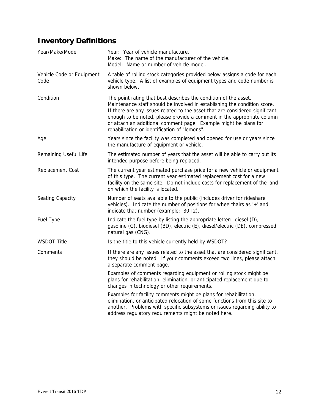# **Inventory Definitions**

| Year/Make/Model                   | Year: Year of vehicle manufacture.<br>Make: The name of the manufacturer of the vehicle.<br>Model: Name or number of vehicle model.                                                                                                                                                                                                                                                                                          |
|-----------------------------------|------------------------------------------------------------------------------------------------------------------------------------------------------------------------------------------------------------------------------------------------------------------------------------------------------------------------------------------------------------------------------------------------------------------------------|
| Vehicle Code or Equipment<br>Code | A table of rolling stock categories provided below assigns a code for each<br>vehicle type. A list of examples of equipment types and code number is<br>shown below.                                                                                                                                                                                                                                                         |
| Condition                         | The point rating that best describes the condition of the asset.<br>Maintenance staff should be involved in establishing the condition score.<br>If there are any issues related to the asset that are considered significant<br>enough to be noted, please provide a comment in the appropriate column<br>or attach an additional comment page. Example might be plans for<br>rehabilitation or identification of "lemons". |
| Age                               | Years since the facility was completed and opened for use or years since<br>the manufacture of equipment or vehicle.                                                                                                                                                                                                                                                                                                         |
| Remaining Useful Life             | The estimated number of years that the asset will be able to carry out its<br>intended purpose before being replaced.                                                                                                                                                                                                                                                                                                        |
| Replacement Cost                  | The current year estimated purchase price for a new vehicle or equipment<br>of this type. The current year estimated replacement cost for a new<br>facility on the same site. Do not include costs for replacement of the land<br>on which the facility is located.                                                                                                                                                          |
| Seating Capacity                  | Number of seats available to the public (includes driver for rideshare<br>vehicles). Indicate the number of positions for wheelchairs as '+' and<br>indicate that number (example: $30+2$ ).                                                                                                                                                                                                                                 |
| Fuel Type                         | Indicate the fuel type by listing the appropriate letter: diesel (D),<br>gasoline (G), biodiesel (BD), electric (E), diesel/electric (DE), compressed<br>natural gas (CNG).                                                                                                                                                                                                                                                  |
| <b>WSDOT Title</b>                | Is the title to this vehicle currently held by WSDOT?                                                                                                                                                                                                                                                                                                                                                                        |
| Comments                          | If there are any issues related to the asset that are considered significant,<br>they should be noted. If your comments exceed two lines, please attach<br>a separate comment page.                                                                                                                                                                                                                                          |
|                                   | Examples of comments regarding equipment or rolling stock might be<br>plans for rehabilitation, elimination, or anticipated replacement due to<br>changes in technology or other requirements.                                                                                                                                                                                                                               |
|                                   | Examples for facility comments might be plans for rehabilitation,<br>elimination, or anticipated relocation of some functions from this site to<br>another. Problems with specific subsystems or issues regarding ability to<br>address regulatory requirements might be noted here.                                                                                                                                         |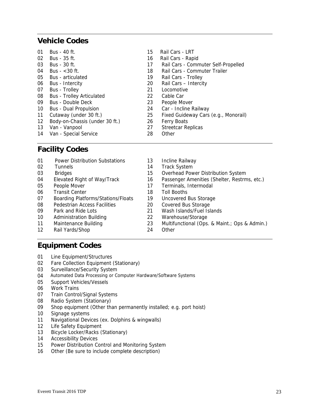### **Vehicle Codes**

| 01 | Bus - 40 ft.                     | 15 | Rail Cars - LRT                      |
|----|----------------------------------|----|--------------------------------------|
| 02 | Bus - 35 ft.                     | 16 | Rail Cars - Rapid                    |
| 03 | Bus - 30 ft.                     | 17 | Rail Cars - Commuter Self-Propelled  |
| 04 | Bus $-$ < 30 ft.                 | 18 | Rail Cars - Commuter Trailer         |
| 05 | <b>Bus</b> - articulated         | 19 | Rail Cars - Trolley                  |
| 06 | Bus - Intercity                  | 20 | Rail Cars - Intercity                |
| 07 | <b>Bus</b> - Trolley             | 21 | Locomotive                           |
| 08 | <b>Bus - Trolley Articulated</b> | 22 | Cable Car                            |
| 09 | Bus - Double Deck                | 23 | People Mover                         |
| 10 | <b>Bus - Dual Propulsion</b>     | 24 | Car - Incline Railway                |
| 11 | Cutaway (under 30 ft.)           | 25 | Fixed Guideway Cars (e.g., Monorail) |
| 12 | Body-on-Chassis (under 30 ft.)   | 26 | <b>Ferry Boats</b>                   |
| 13 | Van - Vanpool                    | 27 | <b>Streetcar Replicas</b>            |
| 14 | Van - Special Service            | 28 | Other                                |

### **Facility Codes**

| 01 | <b>Power Distribution Substations</b>     | 13 | Incline Railway                               |
|----|-------------------------------------------|----|-----------------------------------------------|
| 02 | <b>Tunnels</b>                            | 14 | <b>Track System</b>                           |
| 03 | <b>Bridges</b>                            | 15 | Overhead Power Distribution System            |
| 04 | Elevated Right of Way/Track               | 16 | Passenger Amenities (Shelter, Restrms, etc.)  |
| 05 | People Mover                              | 17 | Terminals, Intermodal                         |
| 06 | <b>Transit Center</b>                     | 18 | Toll Booths                                   |
| 07 | <b>Boarding Platforms/Stations/Floats</b> | 19 | Uncovered Bus Storage                         |
| 08 | Pedestrian Access Facilities              | 20 | Covered Bus Storage                           |
| 09 | Park and Ride Lots                        | 21 | Wash Islands/Fuel Islands                     |
| 10 | <b>Administration Building</b>            | 22 | Warehouse/Storage                             |
| 11 | Maintenance Building                      | 23 | Multifunctional (Ops. & Maint.; Ops & Admin.) |
| 12 | Rail Yards/Shop                           | 24 | Other                                         |

### **Equipment Codes**

- 01 Line Equipment/Structures
- 02 Fare Collection Equipment (Stationary)
- 03 Surveillance/Security System
- 04 Automated Data Processing or Computer Hardware/Software Systems
- 05 Support Vehicles/Vessels
- 06 Work Trains
- 07 Train Control/Signal Systems
- 08 Radio System (Stationary)
- 09 Shop equipment (Other than permanently installed; e.g. port hoist)
- 10 Signage systems
- 11 Navigational Devices (ex. Dolphins & wingwalls)
- 12 Life Safety Equipment
- 13 Bicycle Locker/Racks (Stationary)
- 14 Accessibility Devices
- 15 Power Distribution Control and Monitoring System
- 16 Other (Be sure to include complete description)